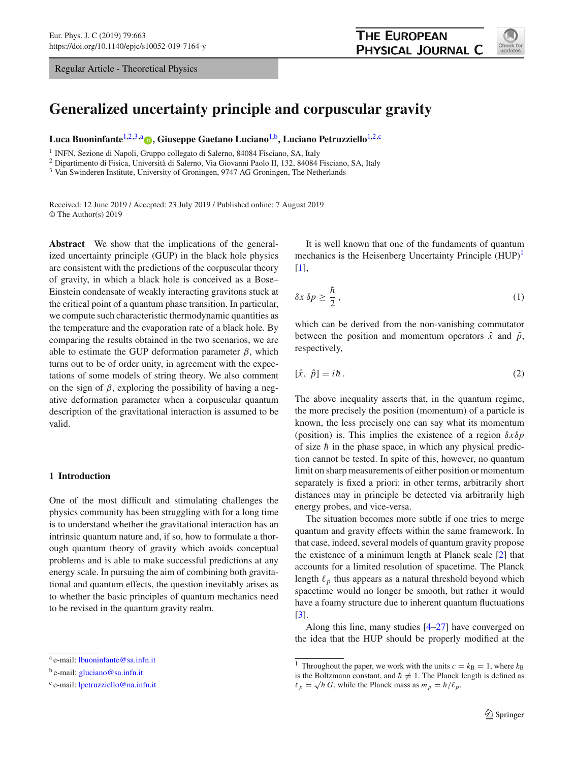Regular Article - Theoretical Physics



# **Generalized uncertainty principle and corpuscular gravity**

**Luca Buoninfante**[1,2](#page-0-0)[,3,](#page-0-1)a **[,](http://orcid.org/0000-0002-7515-9767) Giuseppe Gaetano Luciano**[1,](#page-0-0)b**, Luciano Petruzziello**[1,2,](#page-0-0)c

<sup>1</sup> INFN, Sezione di Napoli, Gruppo collegato di Salerno, 84084 Fisciano, SA, Italy

<sup>2</sup> Dipartimento di Fisica, Università di Salerno, Via Giovanni Paolo II, 132, 84084 Fisciano, SA, Italy

<sup>3</sup> Van Swinderen Institute, University of Groningen, 9747 AG Groningen, The Netherlands

Received: 12 June 2019 / Accepted: 23 July 2019 / Published online: 7 August 2019 © The Author(s) 2019

**Abstract** We show that the implications of the generalized uncertainty principle (GUP) in the black hole physics are consistent with the predictions of the corpuscular theory of gravity, in which a black hole is conceived as a Bose– Einstein condensate of weakly interacting gravitons stuck at the critical point of a quantum phase transition. In particular, we compute such characteristic thermodynamic quantities as the temperature and the evaporation rate of a black hole. By comparing the results obtained in the two scenarios, we are able to estimate the GUP deformation parameter  $\beta$ , which turns out to be of order unity, in agreement with the expectations of some models of string theory. We also comment on the sign of  $\beta$ , exploring the possibility of having a negative deformation parameter when a corpuscular quantum description of the gravitational interaction is assumed to be valid.

## **1 Introduction**

One of the most difficult and stimulating challenges the physics community has been struggling with for a long time is to understand whether the gravitational interaction has an intrinsic quantum nature and, if so, how to formulate a thorough quantum theory of gravity which avoids conceptual problems and is able to make successful predictions at any energy scale. In pursuing the aim of combining both gravitational and quantum effects, the question inevitably arises as to whether the basic principles of quantum mechanics need to be revised in the quantum gravity realm.

<span id="page-0-3"></span><span id="page-0-1"></span><span id="page-0-0"></span>It is well known that one of the fundaments of quantum mechanics is the Heisenberg Uncertainty Principle  $(HUP)^{1}$  $(HUP)^{1}$  $(HUP)^{1}$ [\[1](#page-6-0)],

$$
\delta x \,\delta p \ge \frac{\hbar}{2} \,,\tag{1}
$$

which can be derived from the non-vanishing commutator between the position and momentum operators  $\hat{x}$  and  $\hat{p}$ , respectively,

$$
[\hat{x}, \ \hat{p}] = i\hbar \,. \tag{2}
$$

The above inequality asserts that, in the quantum regime, the more precisely the position (momentum) of a particle is known, the less precisely one can say what its momentum (position) is. This implies the existence of a region δ*x*δ*p* of size  $\hbar$  in the phase space, in which any physical prediction cannot be tested. In spite of this, however, no quantum limit on sharp measurements of either position or momentum separately is fixed a priori: in other terms, arbitrarily short distances may in principle be detected via arbitrarily high energy probes, and vice-versa.

The situation becomes more subtle if one tries to merge quantum and gravity effects within the same framework. In that case, indeed, several models of quantum gravity propose the existence of a minimum length at Planck scale [\[2\]](#page-6-1) that accounts for a limited resolution of spacetime. The Planck length  $\ell_p$  thus appears as a natural threshold beyond which spacetime would no longer be smooth, but rather it would have a foamy structure due to inherent quantum fluctuations [\[3](#page-6-2)].

Along this line, many studies [\[4](#page-6-3)[–27\]](#page-6-4) have converged on the idea that the HUP should be properly modified at the

<sup>a</sup> e-mail: [lbuoninfante@sa.infn.it](mailto:lbuoninfante@sa.infn.it)

<sup>b</sup> e-mail: [gluciano@sa.infn.it](mailto:gluciano@sa.infn.it)

<sup>c</sup> e-mail: [lpetruzziello@na.infn.it](mailto:lpetruzziello@na.infn.it)

<span id="page-0-2"></span><sup>&</sup>lt;sup>1</sup> Throughout the paper, we work with the units  $c = k_B = 1$ , where  $k_B$ is the Boltzmann constant, and  $\hbar \neq 1$ . The Planck length is defined as  $\ell_p = \sqrt{\hbar G}$ , while the Planck mass as  $m_p = \hbar / \ell_p$ .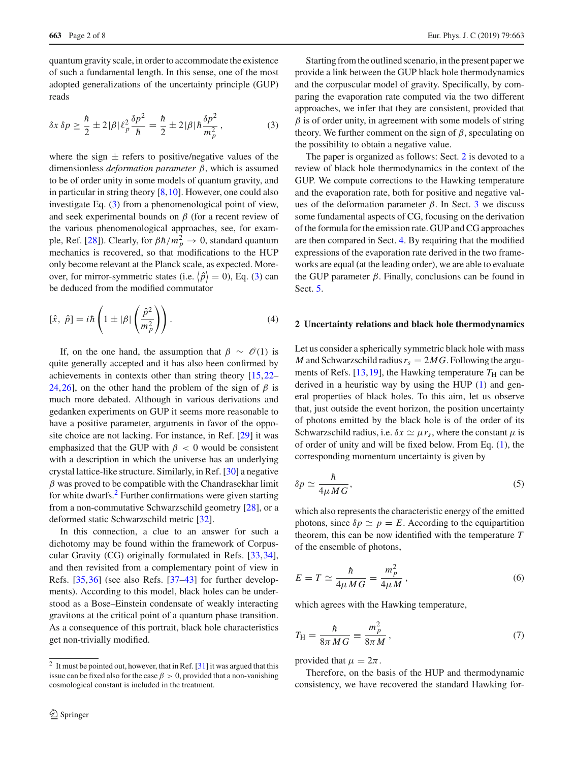<span id="page-1-0"></span>quantum gravity scale, in order to accommodate the existence of such a fundamental length. In this sense, one of the most adopted generalizations of the uncertainty principle (GUP) reads

$$
\delta x \,\delta p \ge \frac{\hbar}{2} \pm 2|\beta|\,\ell_p^2 \frac{\delta p^2}{\hbar} = \frac{\hbar}{2} \pm 2|\beta|\,\hbar\frac{\delta p^2}{m_p^2}\,,\tag{3}
$$

where the sign  $\pm$  refers to positive/negative values of the dimensionless *deformation parameter* β, which is assumed to be of order unity in some models of quantum gravity, and in particular in string theory  $[8,10]$  $[8,10]$  $[8,10]$ . However, one could also investigate Eq. [\(3\)](#page-1-0) from a phenomenological point of view, and seek experimental bounds on  $\beta$  (for a recent review of the various phenomenological approaches, see, for exam-ple, Ref. [\[28](#page-6-7)]). Clearly, for  $\beta \hbar / m_p^2 \rightarrow 0$ , standard quantum mechanics is recovered, so that modifications to the HUP only become relevant at the Planck scale, as expected. Moreover, for mirror-symmetric states (i.e.  $\langle \hat{p} \rangle = 0$ ), Eq. [\(3\)](#page-1-0) can be deduced from the modified commutator

$$
[\hat{x}, \ \hat{p}] = i\hbar \left( 1 \pm |\beta| \left( \frac{\hat{p}^2}{m_p^2} \right) \right). \tag{4}
$$

If, on the one hand, the assumption that  $\beta \sim \mathcal{O}(1)$  is quite generally accepted and it has also been confirmed by achievements in contexts other than string theory [\[15](#page-6-8)[,22](#page-6-9)– [24](#page-6-10)[,26](#page-6-11)], on the other hand the problem of the sign of  $\beta$  is much more debated. Although in various derivations and gedanken experiments on GUP it seems more reasonable to have a positive parameter, arguments in favor of the opposite choice are not lacking. For instance, in Ref. [\[29](#page-6-12)] it was emphasized that the GUP with  $\beta < 0$  would be consistent with a description in which the universe has an underlying crystal lattice-like structure. Similarly, in Ref. [\[30\]](#page-6-13) a negative  $\beta$  was proved to be compatible with the Chandrasekhar limit for white dwarfs.[2](#page-1-1) Further confirmations were given starting from a non-commutative Schwarzschild geometry [\[28\]](#page-6-7), or a deformed static Schwarzschild metric [\[32\]](#page-6-14).

In this connection, a clue to an answer for such a dichotomy may be found within the framework of Corpuscular Gravity (CG) originally formulated in Refs. [\[33](#page-6-15)[,34](#page-6-16)], and then revisited from a complementary point of view in Refs. [\[35](#page-6-17)[,36](#page-6-18)] (see also Refs. [\[37](#page-6-19)[–43](#page-6-20)] for further developments). According to this model, black holes can be understood as a Bose–Einstein condensate of weakly interacting gravitons at the critical point of a quantum phase transition. As a consequence of this portrait, black hole characteristics get non-trivially modified.

Starting from the outlined scenario, in the present paper we provide a link between the GUP black hole thermodynamics and the corpuscular model of gravity. Specifically, by comparing the evaporation rate computed via the two different approaches, we infer that they are consistent, provided that  $\beta$  is of order unity, in agreement with some models of string theory. We further comment on the sign of  $\beta$ , speculating on the possibility to obtain a negative value.

The paper is organized as follows: Sect. [2](#page-1-2) is devoted to a review of black hole thermodynamics in the context of the GUP. We compute corrections to the Hawking temperature and the evaporation rate, both for positive and negative values of the deformation parameter  $β$ . In Sect. [3](#page-3-0) we discuss some fundamental aspects of CG, focusing on the derivation of the formula for the emission rate. GUP and CG approaches are then compared in Sect. [4.](#page-5-0) By requiring that the modified expressions of the evaporation rate derived in the two frameworks are equal (at the leading order), we are able to evaluate the GUP parameter  $\beta$ . Finally, conclusions can be found in Sect. [5.](#page-5-1)

## <span id="page-1-2"></span>**2 Uncertainty relations and black hole thermodynamics**

Let us consider a spherically symmetric black hole with mass *M* and Schwarzschild radius  $r_s = 2MG$ . Following the argu-ments of Refs. [\[13,](#page-6-22)[19\]](#page-6-23), the Hawking temperature  $T<sub>H</sub>$  can be derived in a heuristic way by using the HUP [\(1\)](#page-0-3) and general properties of black holes. To this aim, let us observe that, just outside the event horizon, the position uncertainty of photons emitted by the black hole is of the order of its Schwarzschild radius, i.e.  $\delta x \simeq \mu r_s$ , where the constant  $\mu$  is of order of unity and will be fixed below. From Eq. [\(1\)](#page-0-3), the corresponding momentum uncertainty is given by

$$
\delta p \simeq \frac{\hbar}{4\mu MG},\tag{5}
$$

<span id="page-1-4"></span>which also represents the characteristic energy of the emitted photons, since  $\delta p \simeq p = E$ . According to the equipartition theorem, this can be now identified with the temperature *T* of the ensemble of photons,

<span id="page-1-3"></span>
$$
E = T \simeq \frac{\hbar}{4\mu MG} = \frac{m_p^2}{4\mu M},
$$
\n(6)

which agrees with the Hawking temperature,

$$
T_{\rm H} = \frac{\hbar}{8\pi M G} \equiv \frac{m_p^2}{8\pi M},\qquad(7)
$$

provided that  $\mu = 2\pi$ .

Therefore, on the basis of the HUP and thermodynamic consistency, we have recovered the standard Hawking for-

<span id="page-1-1"></span> $2$  It must be pointed out, however, that in Ref. [\[31\]](#page-6-21) it was argued that this issue can be fixed also for the case  $\beta > 0$ , provided that a non-vanishing cosmological constant is included in the treatment.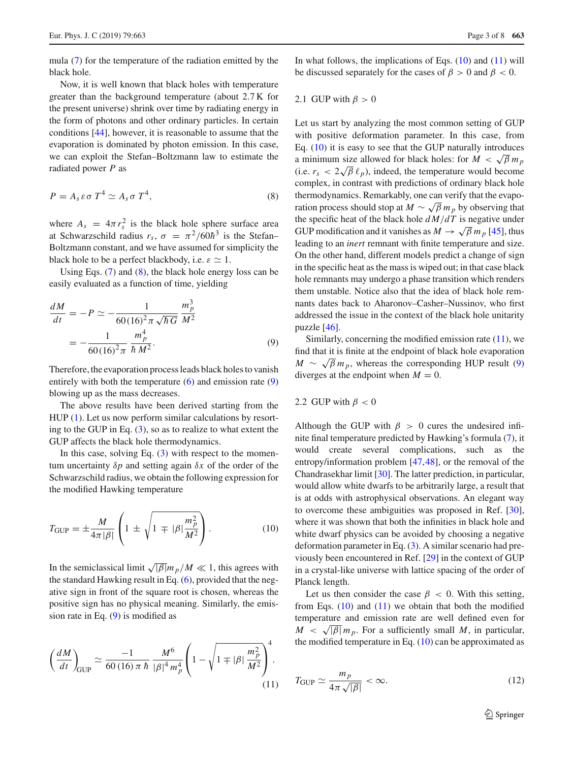mula [\(7\)](#page-1-3) for the temperature of the radiation emitted by the black hole.

Now, it is well known that black holes with temperature greater than the background temperature (about 2.7 K for the present universe) shrink over time by radiating energy in the form of photons and other ordinary particles. In certain conditions [\[44](#page-7-0)], however, it is reasonable to assume that the evaporation is dominated by photon emission. In this case, we can exploit the Stefan–Boltzmann law to estimate the radiated power *P* as

<span id="page-2-0"></span>
$$
P = A_s \varepsilon \sigma T^4 \simeq A_s \sigma T^4, \qquad (8)
$$

where  $A_s = 4\pi r_s^2$  is the black hole sphere surface area at Schwarzschild radius  $r_s$ ,  $\sigma = \pi^2/60\hbar^3$  is the Stefan– Boltzmann constant, and we have assumed for simplicity the black hole to be a perfect blackbody, i.e.  $\varepsilon \simeq 1$ .

Using Eqs.  $(7)$  and  $(8)$ , the black hole energy loss can be easily evaluated as a function of time, yielding

<span id="page-2-1"></span>
$$
\frac{dM}{dt} = -P \simeq -\frac{1}{60(16)^2 \pi \sqrt{\hbar G}} \frac{m_p^3}{M^2}
$$

$$
= -\frac{1}{60(16)^2 \pi} \frac{m_p^4}{\hbar M^2}.
$$
(9)

Therefore, the evaporation process leads black holes to vanish entirely with both the temperature  $(6)$  and emission rate  $(9)$ blowing up as the mass decreases.

The above results have been derived starting from the HUP [\(1\)](#page-0-3). Let us now perform similar calculations by resorting to the GUP in Eq. [\(3\)](#page-1-0), so as to realize to what extent the GUP affects the black hole thermodynamics.

In this case, solving Eq.  $(3)$  with respect to the momentum uncertainty δ*p* and setting again δ*x* of the order of the Schwarzschild radius, we obtain the following expression for the modified Hawking temperature

$$
T_{\rm GUP} = \pm \frac{M}{4\pi |\beta|} \left( 1 \pm \sqrt{1 \mp |\beta| \frac{m_p^2}{M^2}} \right). \tag{10}
$$

In the semiclassical limit  $\sqrt{|\beta|} m_p/M \ll 1$ , this agrees with the standard Hawking result in Eq. [\(6\)](#page-1-4), provided that the negative sign in front of the square root is chosen, whereas the positive sign has no physical meaning. Similarly, the emission rate in Eq.  $(9)$  is modified as

$$
\left(\frac{dM}{dt}\right)_{\text{GUP}} \simeq \frac{-1}{60(16)\,\pi\,\hbar} \frac{M^6}{|\beta|^4 m_p^4} \left(1 - \sqrt{1 \mp |\beta| \frac{m_p^2}{M^2}}\right)^4. \tag{11}
$$

In what follows, the implications of Eqs.  $(10)$  and  $(11)$  will be discussed separately for the cases of  $\beta > 0$  and  $\beta < 0$ .

2.1 GUP with 
$$
\beta > 0
$$

Let us start by analyzing the most common setting of GUP with positive deformation parameter. In this case, from Eq.  $(10)$  it is easy to see that the GUP naturally introduces a minimum size allowed for black holes: for  $M < \sqrt{\beta} m_p$ (i.e.  $r_s < 2\sqrt{\beta} \ell_p$ ), indeed, the temperature would become complex, in contrast with predictions of ordinary black hole thermodynamics. Remarkably, one can verify that the evaporation process should stop at  $M \sim \sqrt{\beta} m_p$  by observing that the specific heat of the black hole *d M*/*dT* is negative under GUP modification and it vanishes as  $M \to \sqrt{\beta} m_p$  [\[45](#page-7-1)], thus leading to an *inert* remnant with finite temperature and size. On the other hand, different models predict a change of sign in the specific heat as the mass is wiped out; in that case black hole remnants may undergo a phase transition which renders them unstable. Notice also that the idea of black hole remnants dates back to Aharonov–Casher–Nussinov, who first addressed the issue in the context of the black hole unitarity puzzle [\[46\]](#page-7-2).

Similarly, concerning the modified emission rate  $(11)$ , we find that it is finite at the endpoint of black hole evaporation  $M \sim \sqrt{\beta} m_p$ , whereas the corresponding HUP result [\(9\)](#page-2-1) diverges at the endpoint when  $M = 0$ .

## 2.2 GUP with  $\beta$  < 0

<span id="page-2-2"></span>Although the GUP with  $\beta > 0$  cures the undesired infinite final temperature predicted by Hawking's formula [\(7\)](#page-1-3), it would create several complications, such as the entropy/information problem [\[47](#page-7-3),[48\]](#page-7-4), or the removal of the Chandrasekhar limit [\[30\]](#page-6-13). The latter prediction, in particular, would allow white dwarfs to be arbitrarily large, a result that is at odds with astrophysical observations. An elegant way to overcome these ambiguities was proposed in Ref. [\[30](#page-6-13)], where it was shown that both the infinities in black hole and white dwarf physics can be avoided by choosing a negative deformation parameter in Eq. [\(3\)](#page-1-0). A similar scenario had previously been encountered in Ref. [\[29](#page-6-12)] in the context of GUP in a crystal-like universe with lattice spacing of the order of Planck length.

<span id="page-2-3"></span>Let us then consider the case  $\beta < 0$ . With this setting, from Eqs.  $(10)$  and  $(11)$  we obtain that both the modified temperature and emission rate are well defined even for  $M < \sqrt{\beta}$  *m<sub>p</sub>*. For a sufficiently small *M*, in particular, the modified temperature in Eq. [\(10\)](#page-2-2) can be approximated as

<span id="page-2-4"></span>
$$
T_{\text{GUP}} \simeq \frac{m_p}{4\pi\sqrt{|\beta|}} < \infty. \tag{12}
$$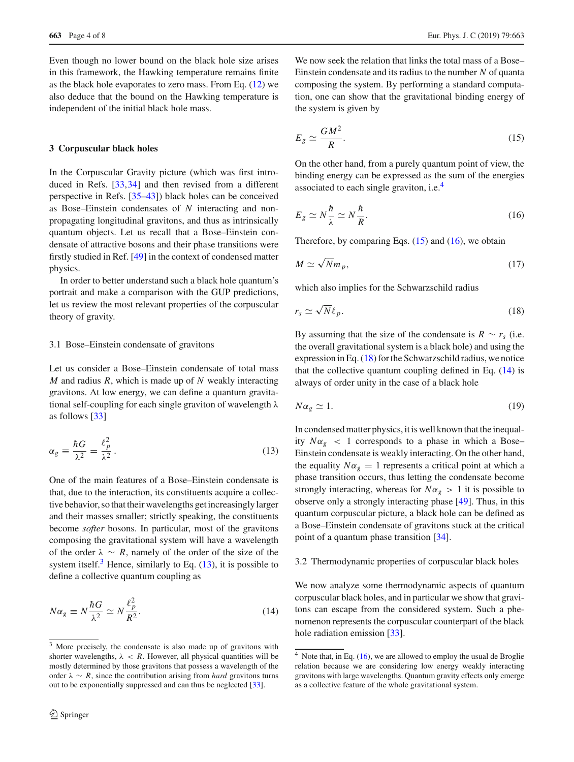Even though no lower bound on the black hole size arises in this framework, the Hawking temperature remains finite as the black hole evaporates to zero mass. From Eq. [\(12\)](#page-2-4) we also deduce that the bound on the Hawking temperature is independent of the initial black hole mass.

#### <span id="page-3-0"></span>**3 Corpuscular black holes**

In the Corpuscular Gravity picture (which was first introduced in Refs. [\[33](#page-6-15),[34\]](#page-6-16) and then revised from a different perspective in Refs. [\[35](#page-6-17)[–43\]](#page-6-20)) black holes can be conceived as Bose–Einstein condensates of *N* interacting and nonpropagating longitudinal gravitons, and thus as intrinsically quantum objects. Let us recall that a Bose–Einstein condensate of attractive bosons and their phase transitions were firstly studied in Ref. [\[49\]](#page-7-5) in the context of condensed matter physics.

In order to better understand such a black hole quantum's portrait and make a comparison with the GUP predictions, let us review the most relevant properties of the corpuscular theory of gravity.

#### 3.1 Bose–Einstein condensate of gravitons

<span id="page-3-2"></span>Let us consider a Bose–Einstein condensate of total mass *M* and radius *R*, which is made up of *N* weakly interacting gravitons. At low energy, we can define a quantum gravitational self-coupling for each single graviton of wavelength  $\lambda$ as follows [\[33](#page-6-15)]

$$
\alpha_g \equiv \frac{\hbar G}{\lambda^2} = \frac{\ell_p^2}{\lambda^2} \,. \tag{13}
$$

One of the main features of a Bose–Einstein condensate is that, due to the interaction, its constituents acquire a collective behavior, so that their wavelengths get increasingly larger and their masses smaller; strictly speaking, the constituents become *softer* bosons. In particular, most of the gravitons composing the gravitational system will have a wavelength of the order  $\lambda \sim R$ , namely of the order of the size of the system itself.<sup>[3](#page-3-1)</sup> Hence, similarly to Eq.  $(13)$ , it is possible to define a collective quantum coupling as

$$
N\alpha_g \equiv N\frac{\hbar G}{\lambda^2} \simeq N\frac{\ell_p^2}{R^2}.\tag{14}
$$

We now seek the relation that links the total mass of a Bose– Einstein condensate and its radius to the number *N* of quanta composing the system. By performing a standard computation, one can show that the gravitational binding energy of the system is given by

<span id="page-3-4"></span>
$$
E_g \simeq \frac{GM^2}{R}.\tag{15}
$$

<span id="page-3-5"></span>On the other hand, from a purely quantum point of view, the binding energy can be expressed as the sum of the energies associated to each single graviton, i.e.[4](#page-3-3)

<span id="page-3-9"></span>
$$
E_g \simeq N \frac{\hbar}{\lambda} \simeq N \frac{\hbar}{R}.\tag{16}
$$

Therefore, by comparing Eqs.  $(15)$  and  $(16)$ , we obtain

<span id="page-3-6"></span>
$$
M \simeq \sqrt{N} m_p,\tag{17}
$$

which also implies for the Schwarzschild radius

$$
r_s \simeq \sqrt{N} \ell_p. \tag{18}
$$

By assuming that the size of the condensate is  $R \sim r_s$  (i.e. the overall gravitational system is a black hole) and using the expression in Eq. [\(18\)](#page-3-6) for the Schwarzschild radius, we notice that the collective quantum coupling defined in Eq.  $(14)$  is always of order unity in the case of a black hole

<span id="page-3-8"></span>
$$
N\alpha_g \simeq 1. \tag{19}
$$

In condensed matter physics, it is well known that the inequality  $N\alpha_g$  < 1 corresponds to a phase in which a Bose– Einstein condensate is weakly interacting. On the other hand, the equality  $N\alpha_g = 1$  represents a critical point at which a phase transition occurs, thus letting the condensate become strongly interacting, whereas for  $N\alpha_g > 1$  it is possible to observe only a strongly interacting phase [\[49](#page-7-5)]. Thus, in this quantum corpuscular picture, a black hole can be defined as a Bose–Einstein condensate of gravitons stuck at the critical point of a quantum phase transition [\[34\]](#page-6-16).

<span id="page-3-7"></span>3.2 Thermodynamic properties of corpuscular black holes

We now analyze some thermodynamic aspects of quantum corpuscular black holes, and in particular we show that gravitons can escape from the considered system. Such a phenomenon represents the corpuscular counterpart of the black hole radiation emission [\[33\]](#page-6-15).

<span id="page-3-1"></span><sup>&</sup>lt;sup>3</sup> More precisely, the condensate is also made up of gravitons with shorter wavelengths,  $\lambda$  < *R*. However, all physical quantities will be mostly determined by those gravitons that possess a wavelength of the order  $\lambda \sim R$ , since the contribution arising from *hard* gravitons turns out to be exponentially suppressed and can thus be neglected [\[33](#page-6-15)].

<span id="page-3-3"></span> $\overline{4}$  Note that, in Eq. [\(16\)](#page-3-5), we are allowed to employ the usual de Broglie relation because we are considering low energy weakly interacting gravitons with large wavelengths. Quantum gravity effects only emerge as a collective feature of the whole gravitational system.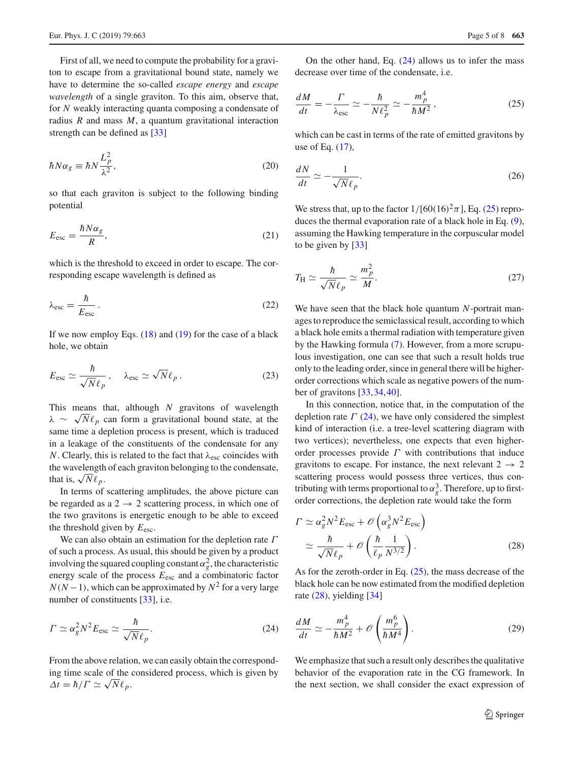First of all, we need to compute the probability for a graviton to escape from a gravitational bound state, namely we have to determine the so-called *escape energy* and *escape wavelength* of a single graviton. To this aim, observe that, for *N* weakly interacting quanta composing a condensate of radius *R* and mass *M*, a quantum gravitational interaction strength can be defined as [\[33\]](#page-6-15)

$$
\hbar N \alpha_g \equiv \hbar N \frac{L_p^2}{\lambda^2},\tag{20}
$$

so that each graviton is subject to the following binding potential

$$
E_{\rm esc} = \frac{\hbar N \alpha_g}{R},\tag{21}
$$

which is the threshold to exceed in order to escape. The corresponding escape wavelength is defined as

$$
\lambda_{\rm esc} = \frac{\hbar}{E_{\rm esc}} \,. \tag{22}
$$

If we now employ Eqs.  $(18)$  and  $(19)$  for the case of a black hole, we obtain

$$
E_{\rm esc} \simeq \frac{\hbar}{\sqrt{N} \ell_p}, \quad \lambda_{\rm esc} \simeq \sqrt{N} \ell_p \,. \tag{23}
$$

This means that, although *N* gravitons of wavelength  $\lambda \sim \sqrt{N} \ell_p$  can form a gravitational bound state, at the same time a depletion process is present, which is traduced in a leakage of the constituents of the condensate for any *N*. Clearly, this is related to the fact that  $\lambda_{\text{esc}}$  coincides with the wavelength of each graviton belonging to the condensate, that is,  $\sqrt{N} \ell_p$ .

In terms of scattering amplitudes, the above picture can be regarded as a  $2 \rightarrow 2$  scattering process, in which one of the two gravitons is energetic enough to be able to exceed the threshold given by *E*esc.

We can also obtain an estimation for the depletion rate  $\Gamma$ of such a process. As usual, this should be given by a product involving the squared coupling constant  $\alpha_g^2$ , the characteristic energy scale of the process *E*esc and a combinatoric factor  $N(N-1)$ , which can be approximated by  $N^2$  for a very large number of constituents [\[33](#page-6-15)], i.e.

$$
\Gamma \simeq \alpha_g^2 N^2 E_{\rm esc} \simeq \frac{\hbar}{\sqrt{N} \ell_p}.
$$
\n(24)

From the above relation, we can easily obtain the corresponding time scale of the considered process, which is given by  $\Delta t = \hbar / \Gamma \simeq \sqrt{N} \ell_p.$ 

<span id="page-4-1"></span>On the other hand, Eq.  $(24)$  allows us to infer the mass decrease over time of the condensate, i.e.

$$
\frac{dM}{dt} = -\frac{\Gamma}{\lambda_{\rm esc}} \simeq -\frac{\hbar}{N\ell_p^2} \simeq -\frac{m_p^4}{\hbar M^2},\qquad(25)
$$

which can be cast in terms of the rate of emitted gravitons by use of Eq. [\(17\)](#page-3-9),

$$
\frac{dN}{dt} \simeq -\frac{1}{\sqrt{N}\ell_p}.\tag{26}
$$

We stress that, up to the factor  $1/[60(16)^2 \pi]$ , Eq. [\(25\)](#page-4-1) reproduces the thermal evaporation rate of a black hole in Eq. [\(9\)](#page-2-1), assuming the Hawking temperature in the corpuscular model to be given by [\[33](#page-6-15)]

$$
T_{\rm H} \simeq \frac{\hbar}{\sqrt{N}\ell_p} \simeq \frac{m_p^2}{M}.\tag{27}
$$

We have seen that the black hole quantum *N*-portrait manages to reproduce the semiclassical result, according to which a black hole emits a thermal radiation with temperature given by the Hawking formula [\(7\)](#page-1-3). However, from a more scrupulous investigation, one can see that such a result holds true only to the leading order, since in general there will be higherorder corrections which scale as negative powers of the number of gravitons [\[33](#page-6-15)[,34](#page-6-16)[,40](#page-6-24)].

In this connection, notice that, in the computation of the depletion rate  $\Gamma$  [\(24\)](#page-4-0), we have only considered the simplest kind of interaction (i.e. a tree-level scattering diagram with two vertices); nevertheless, one expects that even higherorder processes provide  $\Gamma$  with contributions that induce gravitons to escape. For instance, the next relevant  $2 \rightarrow 2$ scattering process would possess three vertices, thus contributing with terms proportional to  $\alpha_g^3$ . Therefore, up to firstorder corrections, the depletion rate would take the form

<span id="page-4-2"></span>
$$
\Gamma \simeq \alpha_g^2 N^2 E_{\text{esc}} + \mathcal{O}\left(\alpha_g^3 N^2 E_{\text{esc}}\right)
$$

$$
\simeq \frac{\hbar}{\sqrt{N} \ell_p} + \mathcal{O}\left(\frac{\hbar}{\ell_p} \frac{1}{N^{3/2}}\right). \tag{28}
$$

<span id="page-4-3"></span><span id="page-4-0"></span>As for the zeroth-order in Eq. [\(25\)](#page-4-1), the mass decrease of the black hole can be now estimated from the modified depletion rate [\(28\)](#page-4-2), yielding [\[34\]](#page-6-16)

$$
\frac{dM}{dt} \simeq -\frac{m_p^4}{\hbar M^2} + \mathcal{O}\left(\frac{m_p^6}{\hbar M^4}\right). \tag{29}
$$

We emphasize that such a result only describes the qualitative behavior of the evaporation rate in the CG framework. In the next section, we shall consider the exact expression of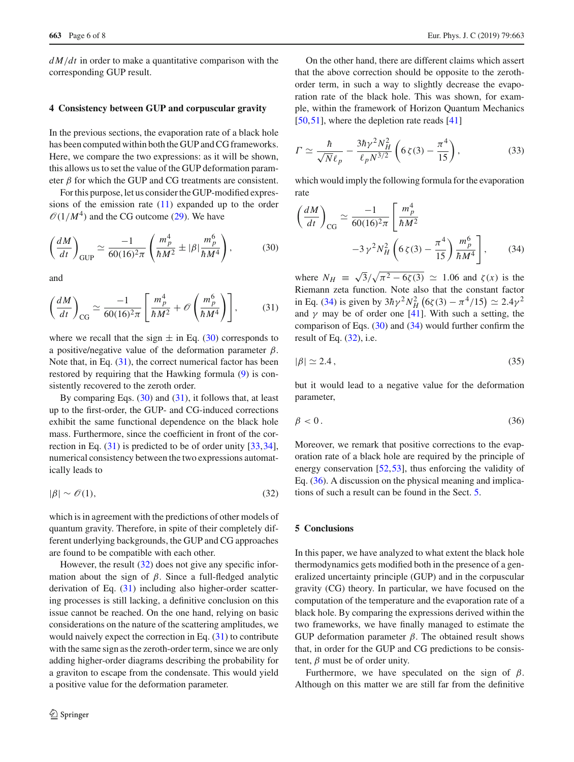*d M*/*dt* in order to make a quantitative comparison with the corresponding GUP result.

## <span id="page-5-0"></span>**4 Consistency between GUP and corpuscular gravity**

In the previous sections, the evaporation rate of a black hole has been computed within both the GUP and CG frameworks. Here, we compare the two expressions: as it will be shown, this allows us to set the value of the GUP deformation parameter  $\beta$  for which the GUP and CG treatments are consistent.

For this purpose, let us consider the GUP-modified expressions of the emission rate [\(11\)](#page-2-3) expanded up to the order  $\mathcal{O}(1/M^4)$  and the CG outcome [\(29\)](#page-4-3). We have

$$
\left(\frac{dM}{dt}\right)_{\text{GUP}} \simeq \frac{-1}{60(16)^2 \pi} \left(\frac{m_p^4}{\hbar M^2} \pm |\beta| \frac{m_p^6}{\hbar M^4}\right),\tag{30}
$$

<span id="page-5-3"></span>and

$$
\left(\frac{dM}{dt}\right)_{\text{CG}} \simeq \frac{-1}{60(16)^2 \pi} \left[\frac{m_p^4}{\hbar M^2} + \mathcal{O}\left(\frac{m_p^6}{\hbar M^4}\right)\right],\tag{31}
$$

where we recall that the sign  $\pm$  in Eq. [\(30\)](#page-5-2) corresponds to a positive/negative value of the deformation parameter  $\beta$ . Note that, in Eq. [\(31\)](#page-5-3), the correct numerical factor has been restored by requiring that the Hawking formula [\(9\)](#page-2-1) is consistently recovered to the zeroth order.

By comparing Eqs.  $(30)$  and  $(31)$ , it follows that, at least up to the first-order, the GUP- and CG-induced corrections exhibit the same functional dependence on the black hole mass. Furthermore, since the coefficient in front of the correction in Eq. [\(31\)](#page-5-3) is predicted to be of order unity [\[33](#page-6-15)[,34](#page-6-16)], numerical consistency between the two expressions automatically leads to

<span id="page-5-4"></span>
$$
|\beta| \sim \mathcal{O}(1),\tag{32}
$$

which is in agreement with the predictions of other models of quantum gravity. Therefore, in spite of their completely different underlying backgrounds, the GUP and CG approaches are found to be compatible with each other.

However, the result  $(32)$  does not give any specific information about the sign of  $\beta$ . Since a full-fledged analytic derivation of Eq. [\(31\)](#page-5-3) including also higher-order scattering processes is still lacking, a definitive conclusion on this issue cannot be reached. On the one hand, relying on basic considerations on the nature of the scattering amplitudes, we would naively expect the correction in Eq. [\(31\)](#page-5-3) to contribute with the same sign as the zeroth-order term, since we are only adding higher-order diagrams describing the probability for a graviton to escape from the condensate. This would yield a positive value for the deformation parameter.

On the other hand, there are different claims which assert that the above correction should be opposite to the zerothorder term, in such a way to slightly decrease the evaporation rate of the black hole. This was shown, for example, within the framework of Horizon Quantum Mechanics [\[50](#page-7-6),[51\]](#page-7-7), where the depletion rate reads [\[41](#page-6-25)]

$$
\Gamma \simeq \frac{\hbar}{\sqrt{N}\ell_p} - \frac{3\hbar\gamma^2 N_H^2}{\ell_p N^{3/2}} \left(6\,\zeta(3) - \frac{\pi^4}{15}\right),\tag{33}
$$

which would imply the following formula for the evaporation rate

<span id="page-5-5"></span><span id="page-5-2"></span>
$$
\left(\frac{dM}{dt}\right)_{\text{CG}} \simeq \frac{-1}{60(16)^2 \pi} \left[\frac{m_p^4}{\hbar M^2} -3\gamma^2 N_H^2 \left(6\zeta(3) - \frac{\pi^4}{15}\right) \frac{m_p^6}{\hbar M^4}\right],\tag{34}
$$

where  $N_H \equiv \sqrt{3}/\sqrt{\pi^2 - 6\zeta(3)} \simeq 1.06$  and  $\zeta(x)$  is the Riemann zeta function. Note also that the constant factor in Eq. [\(34\)](#page-5-5) is given by  $3\hbar\gamma^2 N_H^2 (6\zeta(3) - \pi^4/15) \simeq 2.4\gamma^2$ and  $\gamma$  may be of order one [\[41\]](#page-6-25). With such a setting, the comparison of Eqs. [\(30\)](#page-5-2) and [\(34\)](#page-5-5) would further confirm the result of Eq.  $(32)$ , i.e.

$$
|\beta| \simeq 2.4\,,\tag{35}
$$

<span id="page-5-6"></span>but it would lead to a negative value for the deformation parameter,

$$
\beta < 0. \tag{36}
$$

Moreover, we remark that positive corrections to the evaporation rate of a black hole are required by the principle of energy conservation [\[52,](#page-7-8)[53\]](#page-7-9), thus enforcing the validity of Eq. [\(36\)](#page-5-6). A discussion on the physical meaning and implications of such a result can be found in the Sect. [5.](#page-5-1)

### <span id="page-5-1"></span>**5 Conclusions**

In this paper, we have analyzed to what extent the black hole thermodynamics gets modified both in the presence of a generalized uncertainty principle (GUP) and in the corpuscular gravity (CG) theory. In particular, we have focused on the computation of the temperature and the evaporation rate of a black hole. By comparing the expressions derived within the two frameworks, we have finally managed to estimate the GUP deformation parameter  $\beta$ . The obtained result shows that, in order for the GUP and CG predictions to be consistent,  $\beta$  must be of order unity.

Furthermore, we have speculated on the sign of  $\beta$ . Although on this matter we are still far from the definitive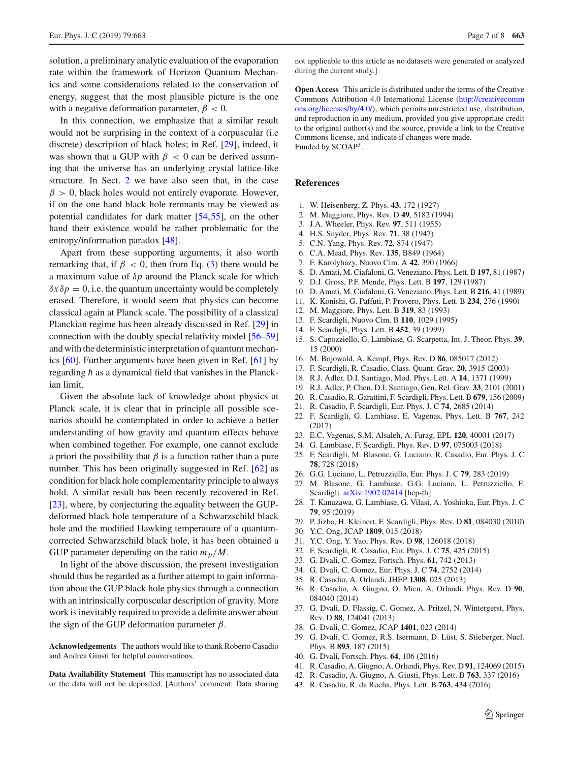solution, a preliminary analytic evaluation of the evaporation rate within the framework of Horizon Quantum Mechanics and some considerations related to the conservation of energy, suggest that the most plausible picture is the one with a negative deformation parameter,  $\beta < 0$ .

In this connection, we emphasize that a similar result would not be surprising in the context of a corpuscular (i.e discrete) description of black holes; in Ref. [\[29\]](#page-6-12), indeed, it was shown that a GUP with  $\beta$  < 0 can be derived assuming that the universe has an underlying crystal lattice-like structure. In Sect. [2](#page-1-2) we have also seen that, in the case  $\beta > 0$ , black holes would not entirely evaporate. However, if on the one hand black hole remnants may be viewed as potential candidates for dark matter [\[54,](#page-7-10)[55\]](#page-7-11), on the other hand their existence would be rather problematic for the entropy/information paradox [\[48\]](#page-7-4).

Apart from these supporting arguments, it also worth remarking that, if  $\beta$  < 0, then from Eq. [\(3\)](#page-1-0) there would be a maximum value of δ*p* around the Planck scale for which  $\delta x \delta p = 0$ , i.e. the quantum uncertainty would be completely erased. Therefore, it would seem that physics can become classical again at Planck scale. The possibility of a classical Planckian regime has been already discussed in Ref. [\[29\]](#page-6-12) in connection with the doubly special relativity model [\[56](#page-7-12)[–59\]](#page-7-13) and with the deterministic interpretation of quantum mechanics [\[60](#page-7-14)]. Further arguments have been given in Ref. [\[61](#page-7-15)] by regarding  $\hbar$  as a dynamical field that vanishes in the Planckian limit.

Given the absolute lack of knowledge about physics at Planck scale, it is clear that in principle all possible scenarios should be contemplated in order to achieve a better understanding of how gravity and quantum effects behave when combined together. For example, one cannot exclude a priori the possibility that  $\beta$  is a function rather than a pure number. This has been originally suggested in Ref. [\[62](#page-7-16)] as condition for black hole complementarity principle to always hold. A similar result has been recently recovered in Ref. [\[23](#page-6-26)], where, by conjecturing the equality between the GUPdeformed black hole temperature of a Schwarzschild black hole and the modified Hawking temperature of a quantumcorrected Schwarzschild black hole, it has been obtained a GUP parameter depending on the ratio  $m_p/M$ .

In light of the above discussion, the present investigation should thus be regarded as a further attempt to gain information about the GUP black hole physics through a connection with an intrinsically corpuscular description of gravity. More work is inevitably required to provide a definite answer about the sign of the GUP deformation parameter  $\beta$ .

**Acknowledgements** The authors would like to thank Roberto Casadio and Andrea Giusti for helpful conversations.

**Data Availability Statement** This manuscript has no associated data or the data will not be deposited. [Authors' comment: Data sharing not applicable to this article as no datasets were generated or analyzed during the current study.]

**Open Access** This article is distributed under the terms of the Creative Commons Attribution 4.0 International License [\(http://creativecomm](http://creativecommons.org/licenses/by/4.0/) [ons.org/licenses/by/4.0/\)](http://creativecommons.org/licenses/by/4.0/), which permits unrestricted use, distribution, and reproduction in any medium, provided you give appropriate credit to the original author(s) and the source, provide a link to the Creative Commons license, and indicate if changes were made. Funded by SCOAP<sup>3</sup>.

#### **References**

- <span id="page-6-0"></span>1. W. Heisenberg, Z. Phys. **43**, 172 (1927)
- <span id="page-6-1"></span>2. M. Maggiore, Phys. Rev. D **49**, 5182 (1994)
- <span id="page-6-2"></span>3. J.A. Wheeler, Phys. Rev. **97**, 511 (1955)
- <span id="page-6-3"></span>4. H.S. Snyder, Phys. Rev. **71**, 38 (1947)
- 5. C.N. Yang, Phys. Rev. **72**, 874 (1947)
- 6. C.A. Mead, Phys. Rev. **135**, B849 (1964)
- 7. F. Karolyhazy, Nuovo Cim. A **42**, 390 (1966)
- <span id="page-6-5"></span>8. D. Amati, M. Ciafaloni, G. Veneziano, Phys. Lett. B **197**, 81 (1987)
- 9. D.J. Gross, P.F. Mende, Phys. Lett. B **197**, 129 (1987)
- <span id="page-6-6"></span>10. D. Amati, M. Ciafaloni, G. Veneziano, Phys. Lett. B **216**, 41 (1989)
- 11. K. Konishi, G. Paffuti, P. Provero, Phys. Lett. B **234**, 276 (1990)
- 12. M. Maggiore, Phys. Lett. B **319**, 83 (1993)
- <span id="page-6-22"></span>13. F. Scardigli, Nuovo Cim. B **110**, 1029 (1995)
- 14. F. Scardigli, Phys. Lett. B **452**, 39 (1999)
- <span id="page-6-8"></span>15. S. Capozziello, G. Lambiase, G. Scarpetta, Int. J. Theor. Phys. **39**, 15 (2000)
- 16. M. Bojowald, A. Kempf, Phys. Rev. D **86**, 085017 (2012)
- 17. F. Scardigli, R. Casadio, Class. Quant. Grav. **20**, 3915 (2003)
- 18. R.J. Adler, D.I. Santiago, Mod. Phys. Lett. A **14**, 1371 (1999)
- <span id="page-6-23"></span>19. R.J. Adler, P. Chen, D.I. Santiago, Gen. Rel. Grav. **33**, 2101 (2001)
- 20. R. Casadio, R. Garattini, F. Scardigli, Phys. Lett. B **679**, 156 (2009)
- 21. R. Casadio, F. Scardigli, Eur. Phys. J. C **74**, 2685 (2014)
- <span id="page-6-9"></span>22. F. Scardigli, G. Lambiase, E. Vagenas, Phys. Lett. B **767**, 242 (2017)
- <span id="page-6-26"></span>23. E.C. Vagenas, S.M. Alsaleh, A. Farag, EPL **120**, 40001 (2017)
- <span id="page-6-10"></span>24. G. Lambiase, F. Scardigli, Phys. Rev. D **97**, 075003 (2018)
- 25. F. Scardigli, M. Blasone, G. Luciano, R. Casadio, Eur. Phys. J. C **78**, 728 (2018)
- <span id="page-6-11"></span>26. G.G. Luciano, L. Petruzziello, Eur. Phys. J. C **79**, 283 (2019)
- <span id="page-6-4"></span>27. M. Blasone, G. Lambiase, G.G. Luciano, L. Petruzziello, F. Scardigli. [arXiv:1902.02414](http://arxiv.org/abs/1902.02414) [hep-th]
- <span id="page-6-7"></span>28. T. Kanazawa, G. Lambiase, G. Vilasi, A. Yoshioka, Eur. Phys. J. C **79**, 95 (2019)
- <span id="page-6-12"></span>29. P. Jizba, H. Kleinert, F. Scardigli, Phys. Rev. D **81**, 084030 (2010)
- <span id="page-6-13"></span>30. Y.C. Ong, JCAP **1809**, 015 (2018)
- <span id="page-6-21"></span>31. Y.C. Ong, Y. Yao, Phys. Rev. D **98**, 126018 (2018)
- <span id="page-6-14"></span>32. F. Scardigli, R. Casadio, Eur. Phys. J. C **75**, 425 (2015)
- <span id="page-6-15"></span>33. G. Dvali, C. Gomez, Fortsch. Phys. **61**, 742 (2013)
- <span id="page-6-16"></span>34. G. Dvali, C. Gomez, Eur. Phys. J. C **74**, 2752 (2014)
- <span id="page-6-17"></span>35. R. Casadio, A. Orlandi, JHEP **1308**, 025 (2013)
- <span id="page-6-18"></span>36. R. Casadio, A. Giugno, O. Micu, A. Orlandi, Phys. Rev. D **90**, 084040 (2014)
- <span id="page-6-19"></span>37. G. Dvali, D. Flassig, C. Gomez, A. Pritzel, N. Wintergerst, Phys. Rev. D **88**, 124041 (2013)
- 38. G. Dvali, C. Gomez, JCAP **1401**, 023 (2014)
- 39. G. Dvali, C. Gomez, R.S. Isermann, D. Lüst, S. Stieberger, Nucl. Phys. B **893**, 187 (2015)
- <span id="page-6-24"></span>40. G. Dvali, Fortsch. Phys. **64**, 106 (2016)
- <span id="page-6-25"></span>41. R. Casadio, A. Giugno, A. Orlandi, Phys. Rev. D **91**, 124069 (2015)
- 42. R. Casadio, A. Giugno, A. Giusti, Phys. Lett. B **763**, 337 (2016)
- <span id="page-6-20"></span>43. R. Casadio, R. da Rocha, Phys. Lett. B **763**, 434 (2016)